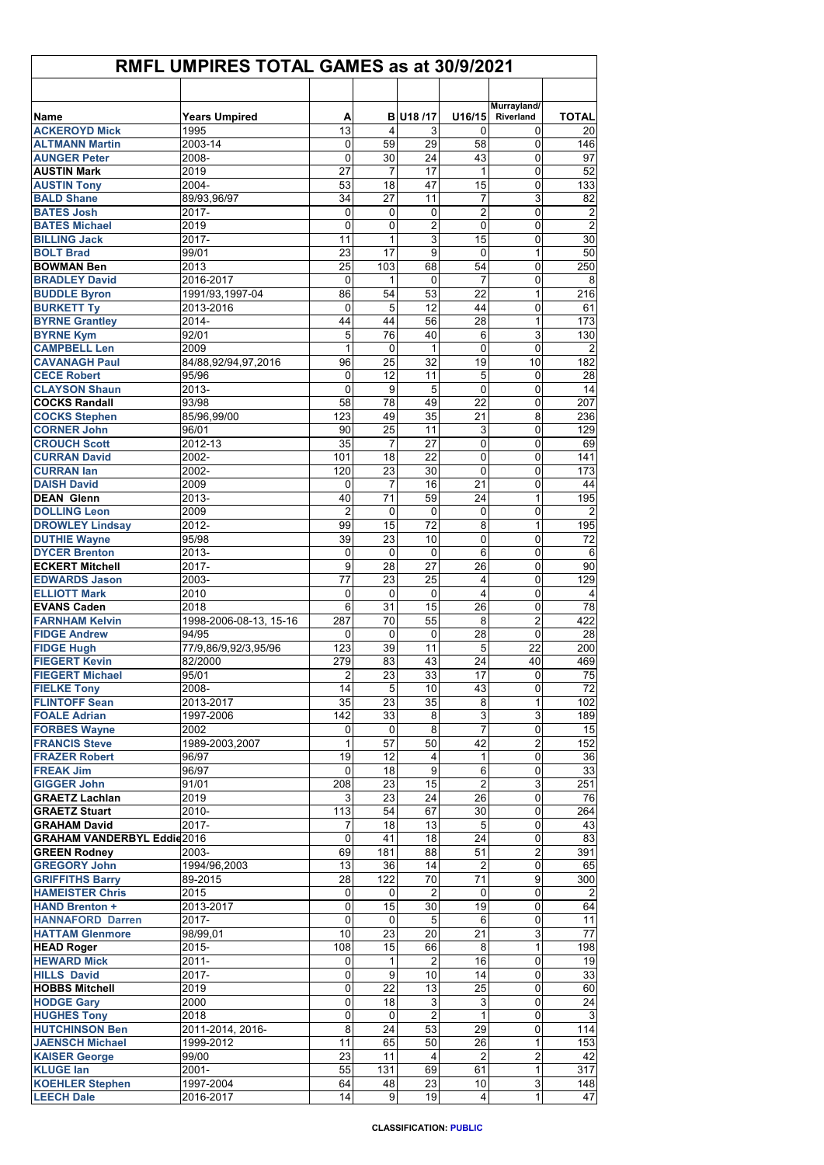| <b>RMFL UMPIRES TOTAL GAMES as at 30/9/2021</b>           |                                 |                |             |                      |                           |                          |                         |  |
|-----------------------------------------------------------|---------------------------------|----------------|-------------|----------------------|---------------------------|--------------------------|-------------------------|--|
|                                                           |                                 |                |             |                      |                           |                          |                         |  |
| Name                                                      | <b>Years Umpired</b>            | А              |             | <b>B</b> U18 /17     | U16/15                    | Murrayland/<br>Riverland | <b>TOTAL</b>            |  |
| <b>ACKEROYD Mick</b>                                      | 1995                            | 13             | 4           | 3                    | 0                         | 0                        | 20                      |  |
| <b>ALTMANN Martin</b>                                     | 2003-14                         | 0              | 59          | 29                   | 58                        | 0                        | 146                     |  |
| <b>AUNGER Peter</b>                                       | 2008-                           | $\mathbf{0}$   | 30          | 24                   | 43                        | 0                        | 97                      |  |
| <b>AUSTIN Mark</b><br><b>AUSTIN Tony</b>                  | 2019                            | 27             | 7<br>18     | 17                   | 1<br>15                   | 0                        | 52<br>133               |  |
| <b>BALD Shane</b>                                         | 2004-<br>89/93,96/97            | 53<br>34       | 27          | 47<br>11             | 7                         | 0<br>3                   | 82                      |  |
| <b>BATES Josh</b>                                         | 2017-                           | 0              | 0           | 0                    | $\overline{c}$            | 0                        | $\overline{\mathbf{c}}$ |  |
| <b>BATES Michael</b>                                      | 2019                            | $\Omega$       | 0           | 2                    | $\mathbf 0$               | 0                        | $\overline{2}$          |  |
| <b>BILLING Jack</b>                                       | 2017-                           | 11             | 1           | 3                    | 15                        | 0                        | $\overline{30}$         |  |
| <b>BOLT Brad</b>                                          | 99/01                           | 23             | 17          | 9                    | $\Omega$                  | 1                        | 50                      |  |
| <b>BOWMAN Ben</b><br><b>BRADLEY David</b>                 | 2013<br>2016-2017               | 25<br>$\Omega$ | 103<br>1    | 68<br>0              | 54<br>$\overline{7}$      | 0<br>0                   | 250<br>8                |  |
| <b>BUDDLE Byron</b>                                       | 1991/93,1997-04                 | 86             | 54          | 53                   | 22                        | 1                        | 216                     |  |
| <b>BURKETT Ty</b>                                         | 2013-2016                       | 0              | 5           | 12                   | 44                        | 0                        | 61                      |  |
| <b>BYRNE Grantley</b>                                     | 2014-                           | 44             | 44          | 56                   | 28                        | 1                        | 173                     |  |
| <b>BYRNE Kym</b>                                          | 92/01                           | 5              | 76          | 40                   | 6                         | 3                        | 130                     |  |
| <b>CAMPBELL Len</b>                                       | 2009                            | 1              | $\Omega$    | $\mathbf{1}$         | $\Omega$                  | 0                        | $\overline{2}$          |  |
| <b>CAVANAGH Paul</b><br><b>CECE Robert</b>                | 84/88,92/94,97,2016<br>95/96    | 96<br>0        | 25<br>12    | 32<br>11             | 19<br>5                   | 10<br>0                  | 182<br>28               |  |
| <b>CLAYSON Shaun</b>                                      | 2013-                           | $\mathbf{0}$   | 9           | 5                    | $\mathbf{0}$              | 0                        | 14                      |  |
| <b>COCKS Randall</b>                                      | 93/98                           | 58             | 78          | 49                   | 22                        | 0                        | 207                     |  |
| <b>COCKS Stephen</b>                                      | 85/96,99/00                     | 123            | 49          | 35                   | 21                        | 8                        | 236                     |  |
| <b>CORNER John</b>                                        | 96/01                           | 90             | 25          | 11                   | 3                         | 0                        | 129                     |  |
| <b>CROUCH Scott</b>                                       | 2012-13                         | 35             | 7           | 27                   | 0                         | 0                        | 69                      |  |
| <b>CURRAN David</b><br><b>CURRAN lan</b>                  | 2002-<br>2002-                  | 101<br>120     | 18<br>23    | 22<br>30             | 0<br>0                    | 0<br>0                   | 141<br>173              |  |
| <b>DAISH David</b>                                        | 2009                            | 0              | 7           | 16                   | 21                        | 0                        | 44                      |  |
| <b>DEAN Glenn</b>                                         | 2013-                           | 40             | 71          | 59                   | 24                        | 1                        | 195                     |  |
| <b>DOLLING Leon</b>                                       | 2009                            | $\overline{2}$ | 0           | 0                    | $\mathbf 0$               | 0                        | $\overline{2}$          |  |
| <b>DROWLEY Lindsay</b>                                    | 2012-                           | 99             | 15          | 72                   | 8                         | 1                        | 195                     |  |
| <b>DUTHIE Wayne</b>                                       | 95/98                           | 39             | 23          | 10                   | 0                         | 0                        | 72                      |  |
| <b>DYCER Brenton</b>                                      | 2013-                           | 0              | $\mathbf 0$ | $\mathbf 0$          | 6                         | 0                        | 6                       |  |
| <b>ECKERT Mitchell</b><br><b>EDWARDS Jason</b>            | 2017-<br>2003-                  | 9<br>77        | 28<br>23    | 27<br>25             | 26<br>4                   | 0<br>0                   | 90<br>129               |  |
| <b>ELLIOTT Mark</b>                                       | 2010                            | $\mathbf 0$    | $\Omega$    | $\mathbf 0$          | $\overline{4}$            | 0                        | $\overline{4}$          |  |
| <b>EVANS Caden</b>                                        | 2018                            | 6              | 31          | 15                   | 26                        | 0                        | 78                      |  |
| <b>FARNHAM Kelvin</b>                                     | 1998-2006-08-13, 15-16          | 287            | 70          | 55                   | 8                         | $\overline{2}$           | 422                     |  |
| <b>FIDGE Andrew</b>                                       | 94/95                           | 0              | 0           | 0                    | 28                        | 0                        | 28                      |  |
| <b>FIDGE Hugh</b><br><b>FIEGERT Kevin</b>                 | 77/9,86/9,92/3,95/96<br>82/2000 | 123<br>279     | 39<br>83    | 11<br>43             | 5<br>24                   | 22<br>40                 | 200<br>469              |  |
| <b>FIEGERT Michael</b>                                    | 95/01                           | $\mathbf{2}$   | 23          | 33                   | 17                        | 0                        | 75                      |  |
| <b>FIELKE Tony</b>                                        | 2008-                           | 14             | 5           | 10                   | 43                        | 0                        | 72                      |  |
| <b>FLINTOFF Sean</b>                                      | 2013-2017                       | 35             | 23          | 35                   | 8                         | 1                        | 102                     |  |
| <b>FOALE Adrian</b>                                       | 1997-2006                       | 142            | 33          | 8                    | $\ensuremath{\mathsf{3}}$ | 3                        | 189                     |  |
| <b>FORBES Wayne</b>                                       | 2002                            | 0              | 0           | $\overline{8}$       | $\overline{7}$            | $\mathbf 0$              | 15                      |  |
| <b>FRANCIS Steve</b><br><b>FRAZER Robert</b>              | 1989-2003.2007<br>96/97         | 1<br>19        | 57<br>12    | 50<br>4              | 42<br>1                   | $\overline{c}$<br>0      | 152<br>36               |  |
| <b>FREAK Jim</b>                                          | 96/97                           | 0              | 18          | 9                    | 6                         | 0                        | 33                      |  |
| <b>GIGGER John</b>                                        | 91/01                           | 208            | 23          | 15                   | $\overline{c}$            | 3                        | 251                     |  |
| <b>GRAETZ Lachlan</b>                                     | 2019                            | 3              | 23          | 24                   | 26                        | 0                        | 76                      |  |
| <b>GRAETZ Stuart</b>                                      | 2010-                           | 113            | 54          | 67                   | 30                        | $\mathbf 0$              | 264                     |  |
| <b>GRAHAM David</b><br><b>GRAHAM VANDERBYL Eddie 2016</b> | 2017-                           | 7<br>$\Omega$  | 18<br>41    | 13<br>18             | 5<br>24                   | 0<br>$\mathbf 0$         | 43<br>83                |  |
| <b>GREEN Rodney</b>                                       | 2003-                           | 69             | 181         | 88                   | 51                        | $\boldsymbol{2}$         | 391                     |  |
| <b>GREGORY John</b>                                       | 1994/96,2003                    | 13             | 36          | 14                   | $\overline{2}$            | 0                        | 65                      |  |
| <b>GRIFFITHS Barry</b>                                    | 89-2015                         | 28             | 122         | 70                   | 71                        | 9                        | 300                     |  |
| <b>HAMEISTER Chris</b>                                    | 2015                            | $\mathbf 0$    | 0           | 2                    | 0                         | 0                        | $\overline{2}$          |  |
| <b>HAND Brenton +</b>                                     | 2013-2017                       | 0              | 15          | 30                   | 19                        | 0                        | 64                      |  |
| <b>HANNAFORD Darren</b><br><b>HATTAM Glenmore</b>         | 2017-<br>98/99,01               | 0<br>10        | 0<br>23     | 5<br>20              | 6<br>21                   | 0<br>3                   | 11<br>$77\,$            |  |
| <b>HEAD Roger</b>                                         | 2015-                           | 108            | 15          | 66                   | 8                         | $\mathbf{1}$             | 198                     |  |
| <b>HEWARD Mick</b>                                        | $2011 -$                        | $\overline{0}$ | 1           | $\overline{2}$       | 16                        | $\mathbf 0$              | 19                      |  |
| <b>HILLS David</b>                                        | 2017-                           | 0              | 9           | 10                   | 14                        | 0                        | 33                      |  |
| <b>HOBBS Mitchell</b>                                     | 2019                            | 0              | 22          | 13                   | 25                        | 0                        | 60                      |  |
| <b>HODGE Gary</b>                                         | 2000                            | 0              | 18          | 3                    | 3                         | 0                        | 24                      |  |
| <b>HUGHES Tony</b><br><b>HUTCHINSON Ben</b>               | 2018<br>2011-2014, 2016-        | 0<br>8         | 0<br>24     | $\overline{c}$<br>53 | $\mathbf{1}$<br>29        | 0<br>0                   | $\mathbf{3}$<br>114     |  |
| <b>JAENSCH Michael</b>                                    | 1999-2012                       | 11             | 65          | 50                   | 26                        | 1                        | 153                     |  |
| <b>KAISER George</b>                                      | 99/00                           | 23             | 11          | 4                    | $\overline{2}$            | $\overline{c}$           | 42                      |  |
| <b>KLUGE lan</b>                                          | 2001-                           | 55             | 131         | 69                   | 61                        | 1                        | 317                     |  |
| <b>KOEHLER Stephen</b>                                    | 1997-2004                       | 64             | 48          | 23                   | 10                        | 3                        | 148                     |  |
| <b>LEECH Dale</b>                                         | 2016-2017                       | 14             | 9           | 19                   | $\overline{\mathbf{4}}$   | 1                        | 47                      |  |